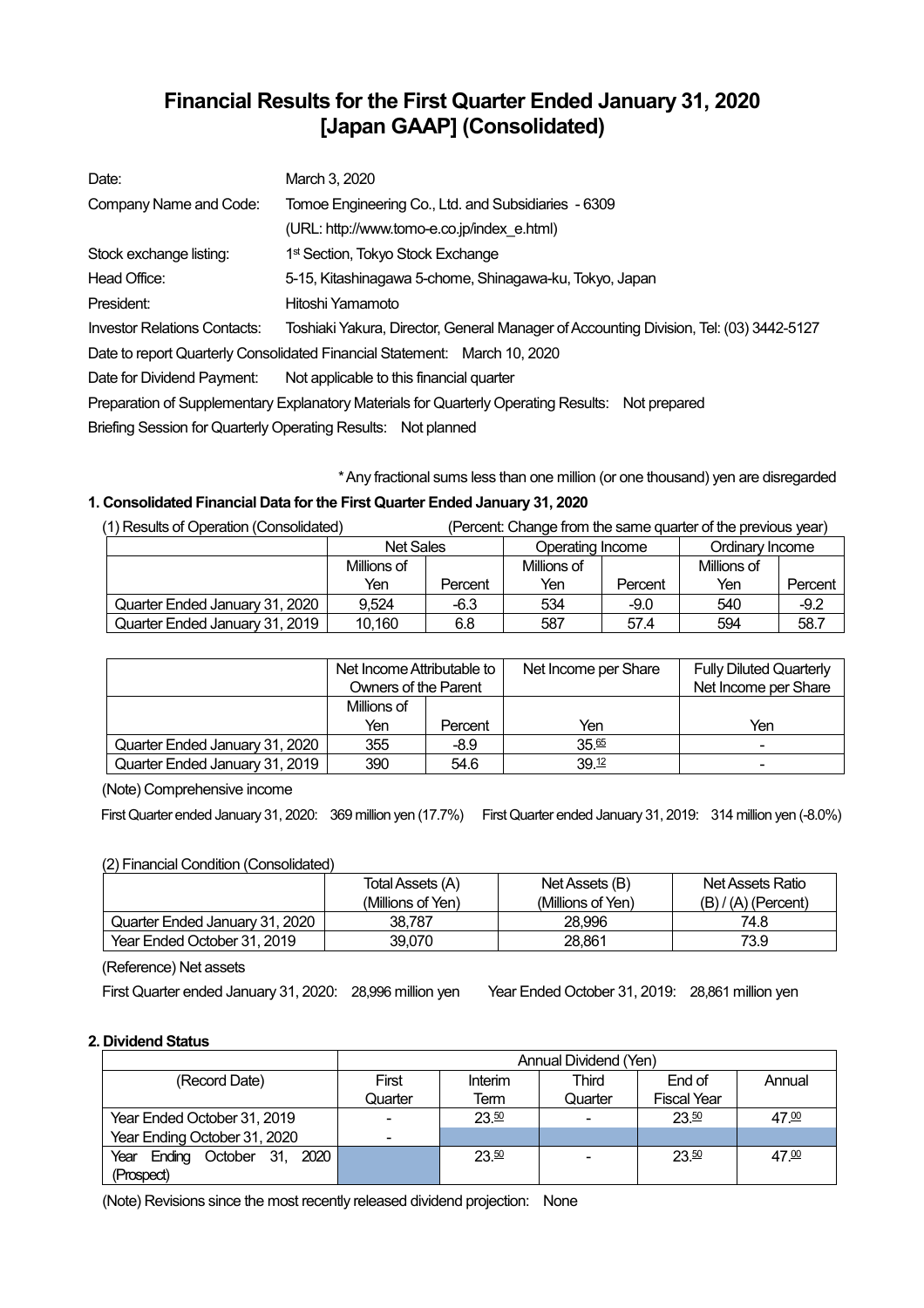# **Financial Results for the First Quarter Ended January 31, 2020 [Japan GAAP] (Consolidated)**

| Date:                        | March 3, 2020                                                                                    |  |  |  |  |
|------------------------------|--------------------------------------------------------------------------------------------------|--|--|--|--|
| Company Name and Code:       | Tomoe Engineering Co., Ltd. and Subsidiaries - 6309                                              |  |  |  |  |
|                              | (URL: http://www.tomo-e.co.jp/index e.html)                                                      |  |  |  |  |
| Stock exchange listing:      | 1 <sup>st</sup> Section, Tokyo Stock Exchange                                                    |  |  |  |  |
| Head Office:                 | 5-15, Kitashinagawa 5-chome, Shinagawa-ku, Tokyo, Japan                                          |  |  |  |  |
| President:                   | Hitoshi Yamamoto                                                                                 |  |  |  |  |
| Investor Relations Contacts: | Toshiaki Yakura, Director, General Manager of Accounting Division, Tel: (03) 3442-5127           |  |  |  |  |
|                              | Date to report Quarterly Consolidated Financial Statement: March 10, 2020                        |  |  |  |  |
| Date for Dividend Payment:   | Not applicable to this financial quarter                                                         |  |  |  |  |
|                              | Preparation of Supplementary Explanatory Materials for Quarterly Operating Results: Not prepared |  |  |  |  |
|                              | Briefing Session for Quarterly Operating Results: Not planned                                    |  |  |  |  |

\*Any fractional sums less than one million (or one thousand) yen are disregarded

## **1. Consolidated Financial Data forthe First Quarter Ended January 31, 2020**

| (1) Results of Operation (Consolidated)<br>(Percent: Change from the same quarter of the previous year) |                  |         |                  |         |                 |         |
|---------------------------------------------------------------------------------------------------------|------------------|---------|------------------|---------|-----------------|---------|
|                                                                                                         | <b>Net Sales</b> |         | Operating Income |         | Ordinary Income |         |
|                                                                                                         | Millions of      |         | Millions of      |         | Millions of     |         |
|                                                                                                         | Yen              | Percent | Yen              | Percent | Yen             | Percent |
| Quarter Ended January 31, 2020                                                                          | 9.524            | $-6.3$  | 534              | $-9.0$  | 540             | $-9.2$  |
| Quarter Ended January 31, 2019                                                                          | 10,160           | 6.8     | 587              | 57.4    | 594             | 58.7    |

|                                | Net Income Attributable to<br>Owners of the Parent |         | Net Income per Share | <b>Fully Diluted Quarterly</b><br>Net Income per Share |
|--------------------------------|----------------------------------------------------|---------|----------------------|--------------------------------------------------------|
|                                | Millions of<br>Yen                                 | Percent | Yen                  | Yen                                                    |
| Quarter Ended January 31, 2020 | 355                                                | $-8.9$  | 35.65                | $\overline{\phantom{0}}$                               |
| Quarter Ended January 31, 2019 | 390                                                | 54.6    | 39.12                | -                                                      |

(Note) Comprehensive income

First Quarter ended January 31, 2020: 369 million yen (17.7%) First Quarter ended January 31, 2019: 314 million yen (-8.0%)

## (2) Financial Condition (Consolidated)

|                                | Total Assets (A)  | Net Assets (B)    | Net Assets Ratio      |
|--------------------------------|-------------------|-------------------|-----------------------|
|                                | (Millions of Yen) | (Millions of Yen) | $(B) / (A)$ (Percent) |
| Quarter Ended January 31, 2020 | 38.787            | 28,996            | 74.8                  |
| Year Ended October 31, 2019    | 39.070            | 28.861            | 73.9                  |

(Reference) Net assets

First Quarter ended January 31, 2020: 28,996 million yen Year Ended October 31, 2019: 28,861 million yen

## **2. Dividend Status**

|                                    | Annual Dividend (Yen)    |         |         |                    |        |
|------------------------------------|--------------------------|---------|---------|--------------------|--------|
| (Record Date)                      | First                    | Interim | Third   | End of             | Annual |
|                                    | Quarter                  | Term    | Quarter | <b>Fiscal Year</b> |        |
| Year Ended October 31, 2019        | $\overline{\phantom{0}}$ | 23.50   |         | 23.50              | 47.00  |
| Year Ending October 31, 2020       | $\blacksquare$           |         |         |                    |        |
| Ending October 31,<br>2020<br>Year |                          | 23.50   |         | 23.50              | 47.00  |
| (Prospect)                         |                          |         |         |                    |        |

(Note) Revisions since the most recently released dividend projection: None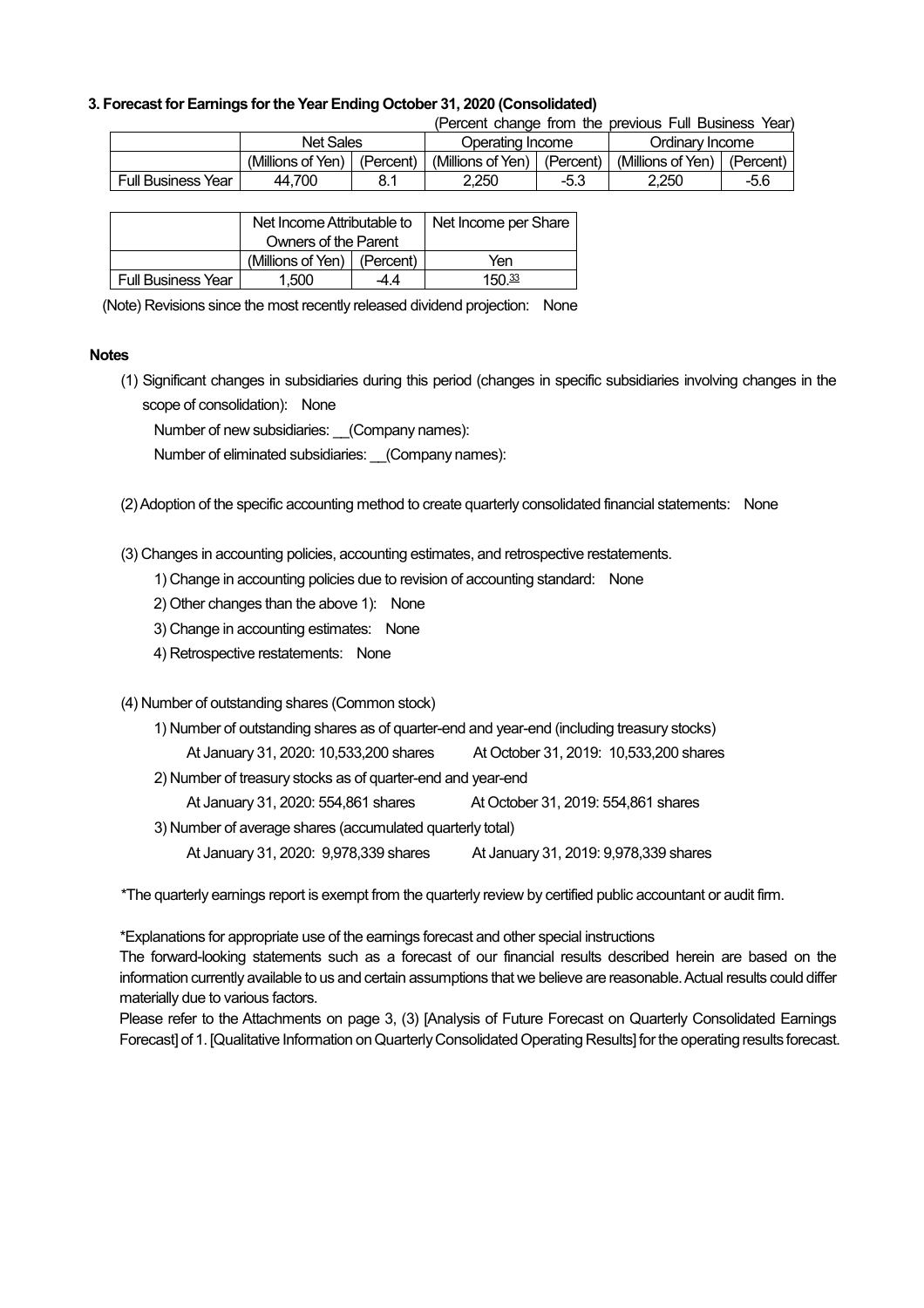#### **3. Forecast for Earnings forthe Year Ending October 31, 2020 (Consolidated)**

|           |                  | (Percent change from the previous Full Business Year) |
|-----------|------------------|-------------------------------------------------------|
| Not Colon | Operating Incomo | Ordinan I Ingama                                      |

|                    | Net Sales         |           | Operating Income  |           | Ordinarv Income   |           |
|--------------------|-------------------|-----------|-------------------|-----------|-------------------|-----------|
|                    | (Millions of Yen) | (Percent) | (Millions of Yen) | (Percent) | (Millions of Yen) | (Percent) |
| Full Business Year | 700<br>44.        | 04        | 2.250             | -5.3      | 2.250             | $-5.6$    |

|                           | Net Income Attributable to      |      | Net Income per Share |
|---------------------------|---------------------------------|------|----------------------|
|                           | Owners of the Parent            |      |                      |
|                           | (Millions of Yen) $ $ (Percent) |      | Yen                  |
| <b>Full Business Year</b> | 1.500                           | -4.4 | $150\frac{33}{2}$    |

(Note) Revisions since the most recently released dividend projection: None

#### **Notes**

(1) Significant changes in subsidiaries during this period (changes in specific subsidiaries involving changes in the scope of consolidation): None

Number of new subsidiaries: (Company names):

Number of eliminated subsidiaries: (Company names):

(2)Adoption of the specific accounting method to create quarterly consolidated financial statements: None

(3) Changes in accounting policies, accounting estimates, and retrospective restatements.

- 1) Change in accounting policies due to revision of accounting standard: None
- 2) Other changes than the above 1): None
- 3) Change in accounting estimates: None
- 4) Retrospective restatements: None

## (4) Number of outstanding shares (Common stock)

| 1) Number of outstanding shares as of quarter-end and year-end (including treasury stocks) |                                        |  |  |  |  |
|--------------------------------------------------------------------------------------------|----------------------------------------|--|--|--|--|
| At January 31, 2020: 10,533,200 shares                                                     | At October 31, 2019: 10,533,200 shares |  |  |  |  |
| 2) Number of treasury stocks as of quarter-end and year-end                                |                                        |  |  |  |  |
| At January 31, 2020: 554,861 shares                                                        | At October 31, 2019: 554,861 shares    |  |  |  |  |
| 3) Number of average shares (accumulated quarterly total)                                  |                                        |  |  |  |  |
| At January 31, 2020: 9,978,339 shares<br>At January 31, 2019: 9,978,339 shares             |                                        |  |  |  |  |

\*The quarterly earnings report is exempt from the quarterly review by certified public accountant or audit firm.

\*Explanations for appropriate use of the earnings forecast and other special instructions

The forward-looking statements such as a forecast of our financial results described herein are based on the information currently available to us and certain assumptions that we believe are reasonable. Actual results could differ materially due to various factors.

Please refer to the Attachments on page 3, (3) [Analysis of Future Forecast on Quarterly Consolidated Earnings Forecast] of 1. [Qualitative Information on Quarterly Consolidated Operating Results] for the operating results forecast.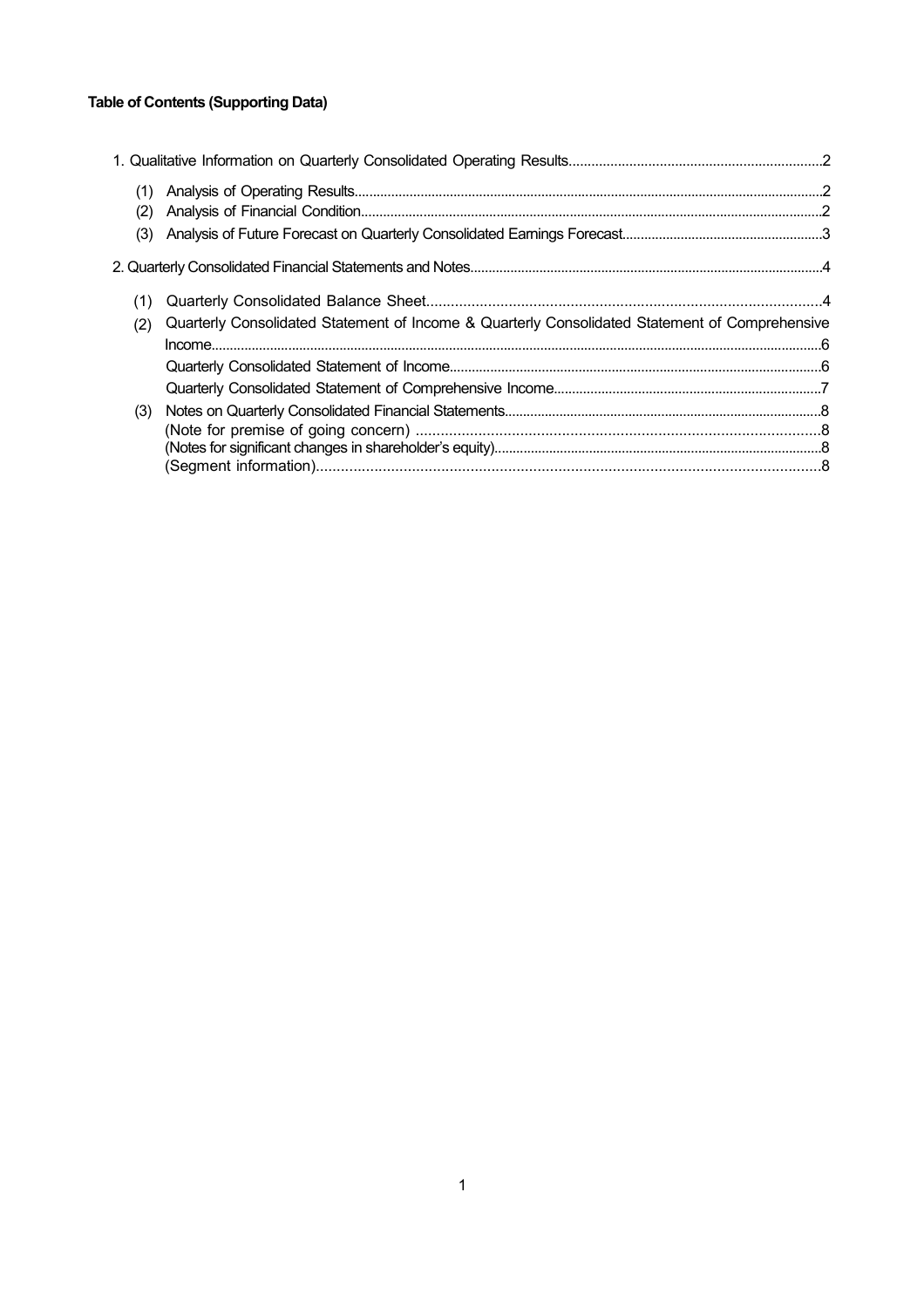## **Table of Contents (Supporting Data)**

| (1)<br>(2)<br>(3) |                                                                                                |  |
|-------------------|------------------------------------------------------------------------------------------------|--|
|                   |                                                                                                |  |
| (2)               | Quarterly Consolidated Statement of Income & Quarterly Consolidated Statement of Comprehensive |  |
| (3)               |                                                                                                |  |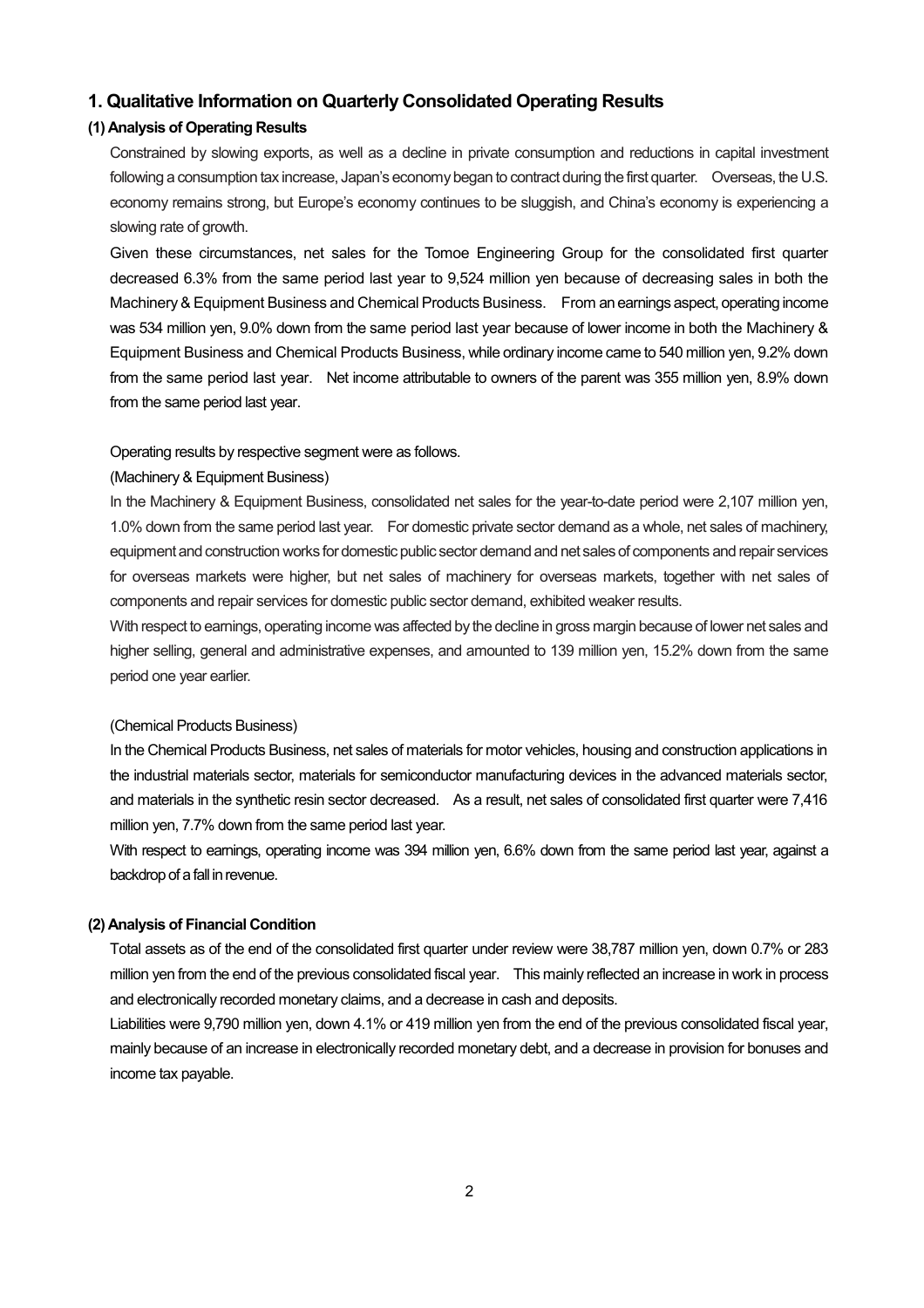## **1. Qualitative Information on Quarterly Consolidated Operating Results**

### **(1) Analysis of Operating Results**

Constrained by slowing exports, as well as a decline in private consumption and reductions in capital investment following a consumption tax increase, Japan's economy began to contract during the first quarter. Overseas, the U.S. economy remains strong, but Europe's economy continues to be sluggish, and China's economy is experiencing a slowing rate of growth.

Given these circumstances, net sales for the Tomoe Engineering Group for the consolidated first quarter decreased 6.3% from the same period last year to 9,524 million yen because of decreasing sales in both the Machinery& Equipment Business and Chemical Products Business. From anearnings aspect, operating income was 534 million yen, 9.0% down from the same period last year because of lower income in both the Machinery & Equipment Business and Chemical Products Business, while ordinary income came to 540 million yen, 9.2% down from the same period last year. Net income attributable to owners of the parent was 355 million yen, 8.9% down from the same period last year.

#### Operating results by respective segment were as follows.

#### (Machinery & Equipment Business)

In the Machinery & Equipment Business, consolidated net sales for the year-to-date period were 2,107 million yen, 1.0% down from the same period last year. For domestic private sector demand as a whole, net sales of machinery, equipment and construction works for domestic public sector demand and net sales of components and repair services for overseas markets were higher, but net sales of machinery for overseas markets, together with net sales of components and repair services for domestic public sector demand, exhibited weaker results.

With respect to earnings, operating income was affected by the decline in gross margin because of lower net sales and higher selling, general and administrative expenses, and amounted to 139 million yen, 15.2% down from the same period one year earlier.

#### (Chemical Products Business)

In the Chemical Products Business, net sales of materials for motor vehicles, housing and construction applications in the industrial materials sector, materials for semiconductor manufacturing devices in the advanced materials sector, and materials in the synthetic resin sector decreased. As a result, net sales of consolidated first quarter were 7,416 million yen, 7.7% down from the same period last year.

With respect to earnings, operating income was 394 million yen, 6.6% down from the same period last year, against a backdrop of a fall in revenue.

#### **(2) Analysis of Financial Condition**

Total assets as of the end of the consolidated first quarter under review were 38,787 million yen, down 0.7% or 283 million yen from the end of the previous consolidated fiscal year. This mainly reflected an increase in work in process and electronically recorded monetary claims, and a decrease in cash and deposits.

Liabilities were 9,790 million yen, down 4.1% or 419 million yen from the end of the previous consolidated fiscal year, mainly because of an increase in electronically recorded monetary debt, and a decrease in provision for bonuses and income tax payable.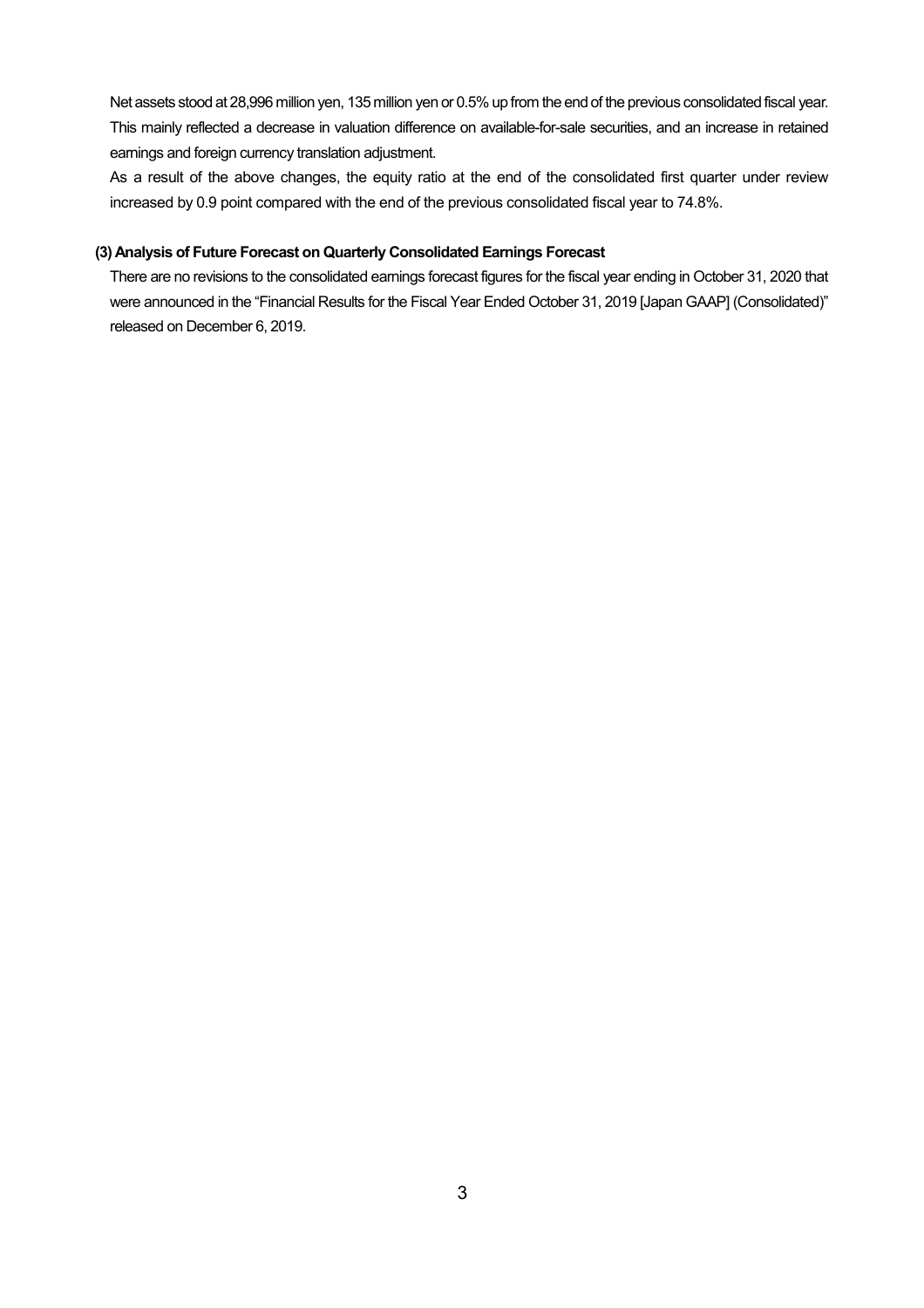Net assets stood at 28,996 million yen, 135 million yen or 0.5% up from the end of the previous consolidated fiscal year. This mainly reflected a decrease in valuation difference on available-for-sale securities, and an increase in retained earnings and foreign currency translation adjustment.

As a result of the above changes, the equity ratio at the end of the consolidated first quarter under review increased by 0.9 point compared with the end of the previous consolidated fiscal year to 74.8%.

#### **(3) Analysis of Future Forecast on Quarterly Consolidated Earnings Forecast**

There are no revisions to the consolidated earnings forecast figures for the fiscal year ending in October 31, 2020 that were announced in the "Financial Results for the Fiscal Year Ended October 31, 2019 [Japan GAAP] (Consolidated)" released on December 6, 2019.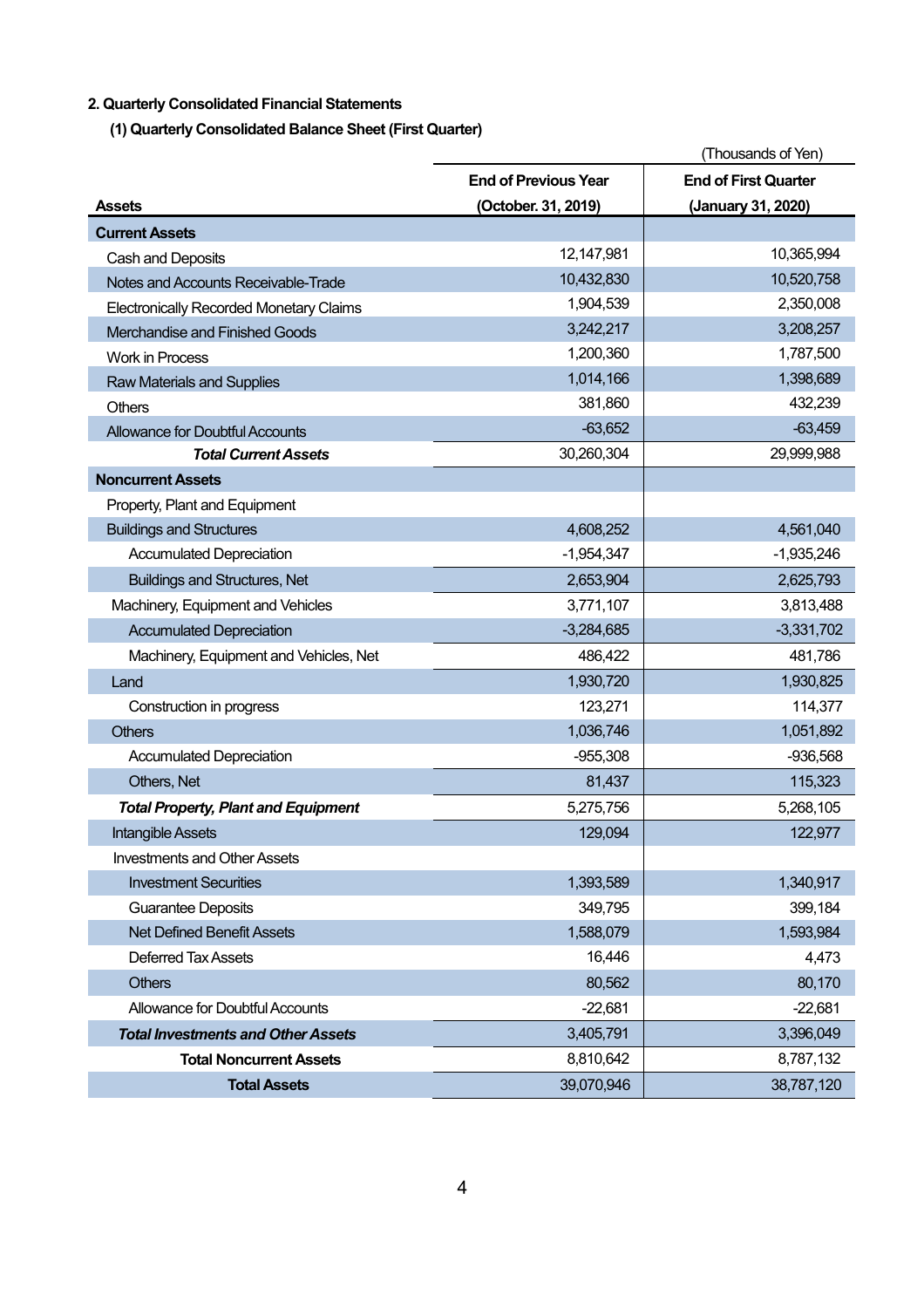## **2. Quarterly Consolidated Financial Statements**

**(1) Quarterly Consolidated Balance Sheet (First Quarter)**

|                                                | (Thousands of Yen)          |                             |  |
|------------------------------------------------|-----------------------------|-----------------------------|--|
|                                                | <b>End of Previous Year</b> | <b>End of First Quarter</b> |  |
| <b>Assets</b>                                  | (October. 31, 2019)         | (January 31, 2020)          |  |
| <b>Current Assets</b>                          |                             |                             |  |
| Cash and Deposits                              | 12,147,981                  | 10,365,994                  |  |
| Notes and Accounts Receivable-Trade            | 10,432,830                  | 10,520,758                  |  |
| <b>Electronically Recorded Monetary Claims</b> | 1,904,539                   | 2,350,008                   |  |
| Merchandise and Finished Goods                 | 3,242,217                   | 3,208,257                   |  |
| <b>Work in Process</b>                         | 1,200,360                   | 1,787,500                   |  |
| <b>Raw Materials and Supplies</b>              | 1,014,166                   | 1,398,689                   |  |
| <b>Others</b>                                  | 381,860                     | 432,239                     |  |
| <b>Allowance for Doubtful Accounts</b>         | $-63,652$                   | $-63,459$                   |  |
| <b>Total Current Assets</b>                    | 30,260,304                  | 29,999,988                  |  |
| <b>Noncurrent Assets</b>                       |                             |                             |  |
| Property, Plant and Equipment                  |                             |                             |  |
| <b>Buildings and Structures</b>                | 4,608,252                   | 4,561,040                   |  |
| <b>Accumulated Depreciation</b>                | $-1,954,347$                | $-1,935,246$                |  |
| <b>Buildings and Structures, Net</b>           | 2,653,904                   | 2,625,793                   |  |
| Machinery, Equipment and Vehicles              | 3,771,107                   | 3,813,488                   |  |
| <b>Accumulated Depreciation</b>                | $-3,284,685$                | $-3,331,702$                |  |
| Machinery, Equipment and Vehicles, Net         | 486,422                     | 481,786                     |  |
| Land                                           | 1,930,720                   | 1,930,825                   |  |
| Construction in progress                       | 123,271                     | 114,377                     |  |
| <b>Others</b>                                  | 1,036,746                   | 1,051,892                   |  |
| <b>Accumulated Depreciation</b>                | $-955,308$                  | $-936,568$                  |  |
| Others, Net                                    | 81,437                      | 115,323                     |  |
| <b>Total Property, Plant and Equipment</b>     | 5,275,756                   | 5,268,105                   |  |
| <b>Intangible Assets</b>                       | 129,094                     | 122,977                     |  |
| <b>Investments and Other Assets</b>            |                             |                             |  |
| <b>Investment Securities</b>                   | 1,393,589                   | 1,340,917                   |  |
| <b>Guarantee Deposits</b>                      | 349,795                     | 399,184                     |  |
| <b>Net Defined Benefit Assets</b>              | 1,588,079                   | 1,593,984                   |  |
| <b>Deferred Tax Assets</b>                     | 16,446                      | 4,473                       |  |
| <b>Others</b>                                  | 80,562                      | 80,170                      |  |
| Allowance for Doubtful Accounts                | $-22,681$                   | $-22,681$                   |  |
| <b>Total Investments and Other Assets</b>      | 3,405,791                   | 3,396,049                   |  |
| <b>Total Noncurrent Assets</b>                 | 8,810,642                   | 8,787,132                   |  |
| <b>Total Assets</b>                            | 39,070,946                  | 38,787,120                  |  |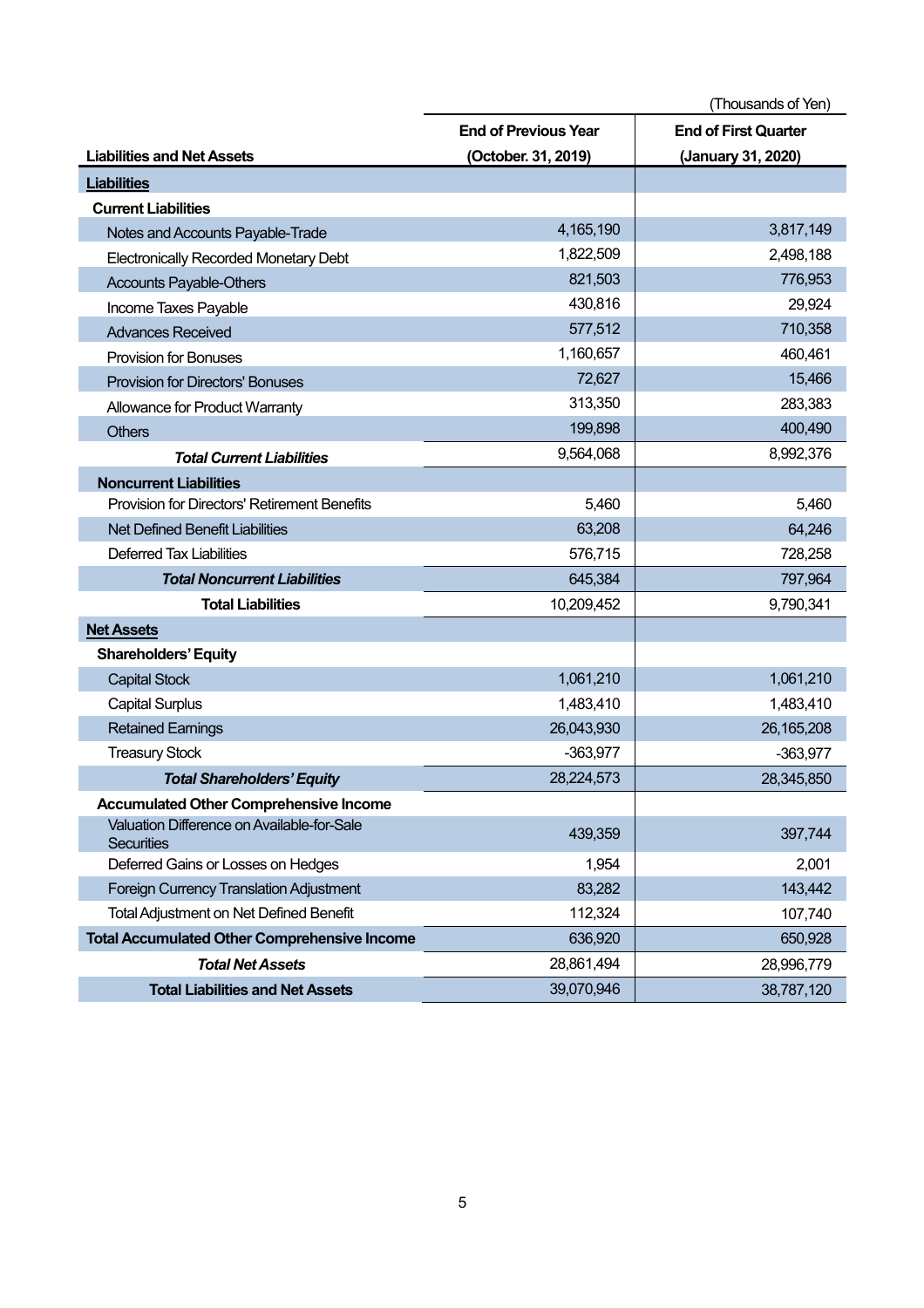|                                                                 | (Thousands of Yen)          |                             |  |
|-----------------------------------------------------------------|-----------------------------|-----------------------------|--|
|                                                                 | <b>End of Previous Year</b> | <b>End of First Quarter</b> |  |
| <b>Liabilities and Net Assets</b>                               | (October. 31, 2019)         | (January 31, 2020)          |  |
| <b>Liabilities</b>                                              |                             |                             |  |
| <b>Current Liabilities</b>                                      |                             |                             |  |
| Notes and Accounts Payable-Trade                                | 4,165,190                   | 3,817,149                   |  |
| <b>Electronically Recorded Monetary Debt</b>                    | 1,822,509                   | 2,498,188                   |  |
| <b>Accounts Payable-Others</b>                                  | 821,503                     | 776,953                     |  |
| Income Taxes Payable                                            | 430,816                     | 29,924                      |  |
| <b>Advances Received</b>                                        | 577,512                     | 710,358                     |  |
| <b>Provision for Bonuses</b>                                    | 1,160,657                   | 460,461                     |  |
| <b>Provision for Directors' Bonuses</b>                         | 72,627                      | 15,466                      |  |
| Allowance for Product Warranty                                  | 313,350                     | 283,383                     |  |
| <b>Others</b>                                                   | 199,898                     | 400,490                     |  |
| <b>Total Current Liabilities</b>                                | 9,564,068                   | 8,992,376                   |  |
| <b>Noncurrent Liabilities</b>                                   |                             |                             |  |
| Provision for Directors' Retirement Benefits                    | 5,460                       | 5,460                       |  |
| <b>Net Defined Benefit Liabilities</b>                          | 63,208                      | 64,246                      |  |
| <b>Deferred Tax Liabilities</b>                                 | 576,715                     | 728,258                     |  |
| <b>Total Noncurrent Liabilities</b>                             | 645,384                     | 797,964                     |  |
| <b>Total Liabilities</b>                                        | 10,209,452                  | 9,790,341                   |  |
| <b>Net Assets</b>                                               |                             |                             |  |
| <b>Shareholders' Equity</b>                                     |                             |                             |  |
| <b>Capital Stock</b>                                            | 1,061,210                   | 1,061,210                   |  |
| <b>Capital Surplus</b>                                          | 1,483,410                   | 1,483,410                   |  |
| <b>Retained Earnings</b>                                        | 26,043,930                  | 26, 165, 208                |  |
| <b>Treasury Stock</b>                                           | $-363,977$                  | $-363,977$                  |  |
| <b>Total Shareholders' Equity</b>                               | 28,224,573                  | 28,345,850                  |  |
| <b>Accumulated Other Comprehensive Income</b>                   |                             |                             |  |
| Valuation Difference on Available-for-Sale<br><b>Securities</b> | 439,359                     | 397,744                     |  |
| Deferred Gains or Losses on Hedges                              | 1,954                       | 2,001                       |  |
| <b>Foreign Currency Translation Adjustment</b>                  | 83,282                      | 143,442                     |  |
| <b>Total Adjustment on Net Defined Benefit</b>                  | 112,324                     | 107,740                     |  |
| <b>Total Accumulated Other Comprehensive Income</b>             | 636,920                     | 650,928                     |  |
| <b>Total Net Assets</b>                                         | 28,861,494                  | 28,996,779                  |  |
| <b>Total Liabilities and Net Assets</b>                         | 39,070,946                  | 38,787,120                  |  |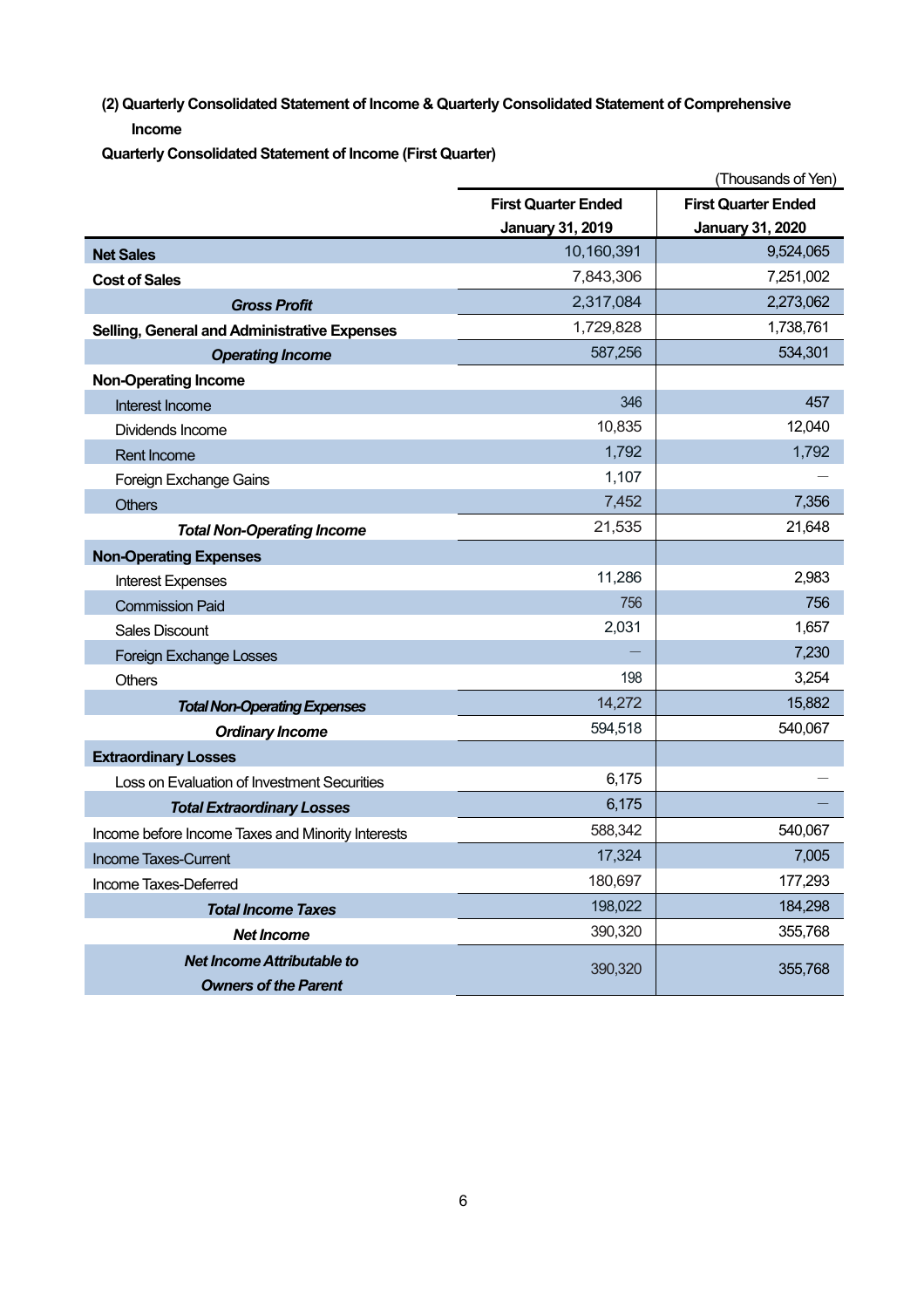**(2) Quarterly Consolidated Statement of Income & Quarterly Consolidated Statement of Comprehensive Income**

**Quarterly Consolidated Statement of Income (First Quarter)**

|                                                     | (Thousands of Yen)                                       |                         |  |
|-----------------------------------------------------|----------------------------------------------------------|-------------------------|--|
|                                                     | <b>First Quarter Ended</b><br><b>First Quarter Ended</b> |                         |  |
|                                                     | <b>January 31, 2019</b>                                  | <b>January 31, 2020</b> |  |
| <b>Net Sales</b>                                    | 10,160,391                                               | 9,524,065               |  |
| <b>Cost of Sales</b>                                | 7,843,306                                                | 7,251,002               |  |
| <b>Gross Profit</b>                                 | 2,317,084                                                | 2,273,062               |  |
| <b>Selling, General and Administrative Expenses</b> | 1,729,828                                                | 1,738,761               |  |
| <b>Operating Income</b>                             | 587,256                                                  | 534,301                 |  |
| <b>Non-Operating Income</b>                         |                                                          |                         |  |
| Interest Income                                     | 346                                                      | 457                     |  |
| Dividends Income                                    | 10,835                                                   | 12,040                  |  |
| <b>Rent Income</b>                                  | 1,792                                                    | 1,792                   |  |
| Foreign Exchange Gains                              | 1,107                                                    |                         |  |
| <b>Others</b>                                       | 7,452                                                    | 7,356                   |  |
| <b>Total Non-Operating Income</b>                   | 21,535                                                   | 21,648                  |  |
| <b>Non-Operating Expenses</b>                       |                                                          |                         |  |
| <b>Interest Expenses</b>                            | 11,286                                                   | 2,983                   |  |
| <b>Commission Paid</b>                              | 756                                                      | 756                     |  |
| <b>Sales Discount</b>                               | 2,031                                                    | 1,657                   |  |
| <b>Foreign Exchange Losses</b>                      |                                                          | 7,230                   |  |
| <b>Others</b>                                       | 198                                                      | 3,254                   |  |
| <b>Total Non-Operating Expenses</b>                 | 14,272                                                   | 15,882                  |  |
| <b>Ordinary Income</b>                              | 594,518                                                  | 540,067                 |  |
| <b>Extraordinary Losses</b>                         |                                                          |                         |  |
| Loss on Evaluation of Investment Securities         | 6,175                                                    |                         |  |
| <b>Total Extraordinary Losses</b>                   | 6,175                                                    |                         |  |
| Income before Income Taxes and Minority Interests   | 588,342                                                  | 540,067                 |  |
| <b>Income Taxes-Current</b>                         | 17,324                                                   | 7,005                   |  |
| Income Taxes-Deferred                               | 180,697                                                  | 177,293                 |  |
| <b>Total Income Taxes</b>                           | 198,022                                                  | 184,298                 |  |
| <b>Net Income</b>                                   | 390,320                                                  | 355,768                 |  |
| <b>Net Income Attributable to</b>                   | 390,320                                                  | 355,768                 |  |
| <b>Owners of the Parent</b>                         |                                                          |                         |  |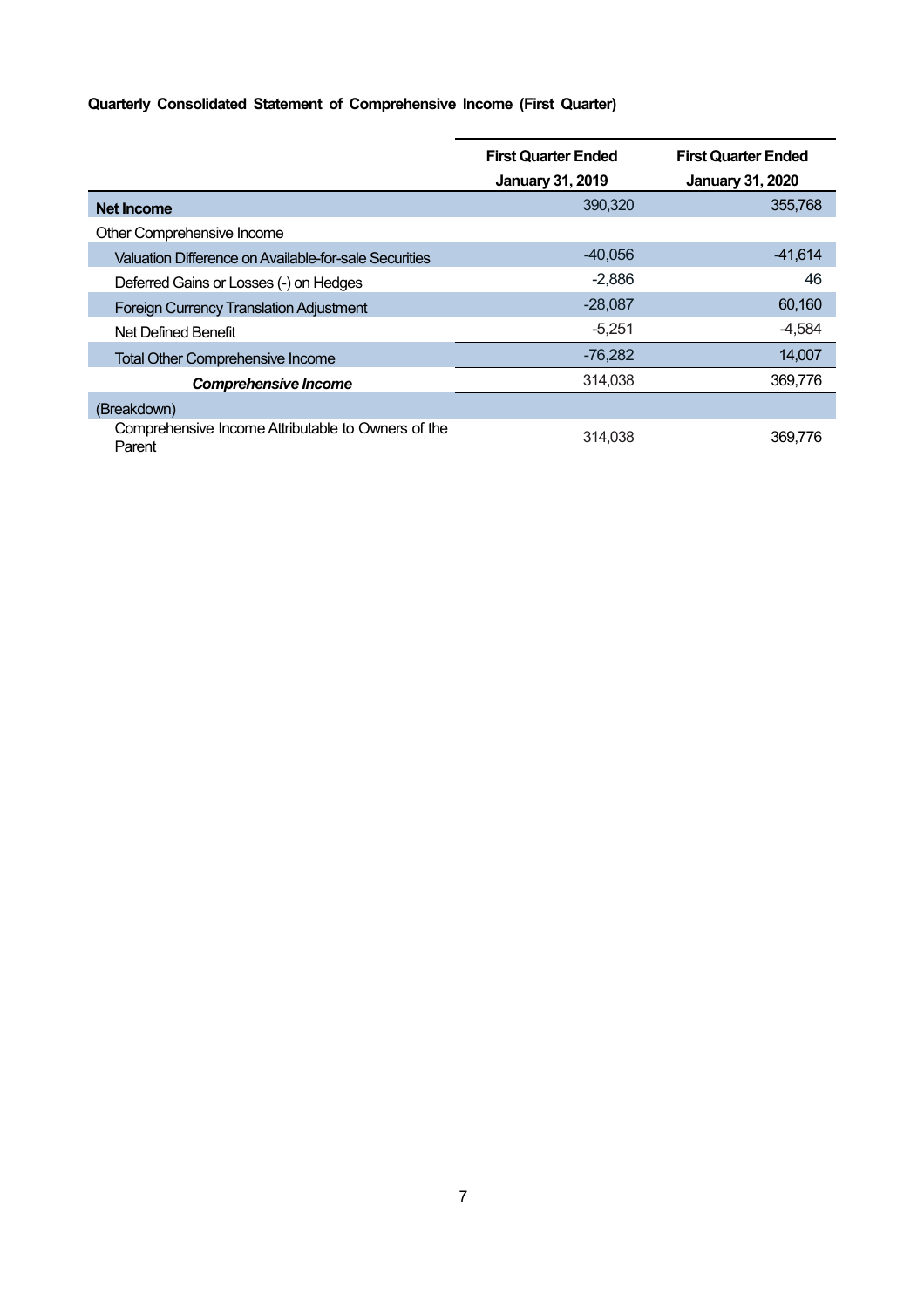## **Quarterly Consolidated Statement of Comprehensive Income (First Quarter)**

|                                                              | <b>First Quarter Ended</b> | <b>First Quarter Ended</b> |  |
|--------------------------------------------------------------|----------------------------|----------------------------|--|
|                                                              | <b>January 31, 2019</b>    | <b>January 31, 2020</b>    |  |
| <b>Net Income</b>                                            | 390,320                    | 355,768                    |  |
| Other Comprehensive Income                                   |                            |                            |  |
| Valuation Difference on Available-for-sale Securities        | $-40.056$                  | $-41,614$                  |  |
| Deferred Gains or Losses (-) on Hedges                       | $-2,886$                   | 46                         |  |
| <b>Foreign Currency Translation Adjustment</b>               | $-28,087$                  | 60,160                     |  |
| Net Defined Benefit                                          | $-5,251$                   | $-4,584$                   |  |
| <b>Total Other Comprehensive Income</b>                      | $-76,282$                  | 14,007                     |  |
| <b>Comprehensive Income</b>                                  | 314,038                    | 369,776                    |  |
| (Breakdown)                                                  |                            |                            |  |
| Comprehensive Income Attributable to Owners of the<br>Parent | 314.038                    | 369.776                    |  |